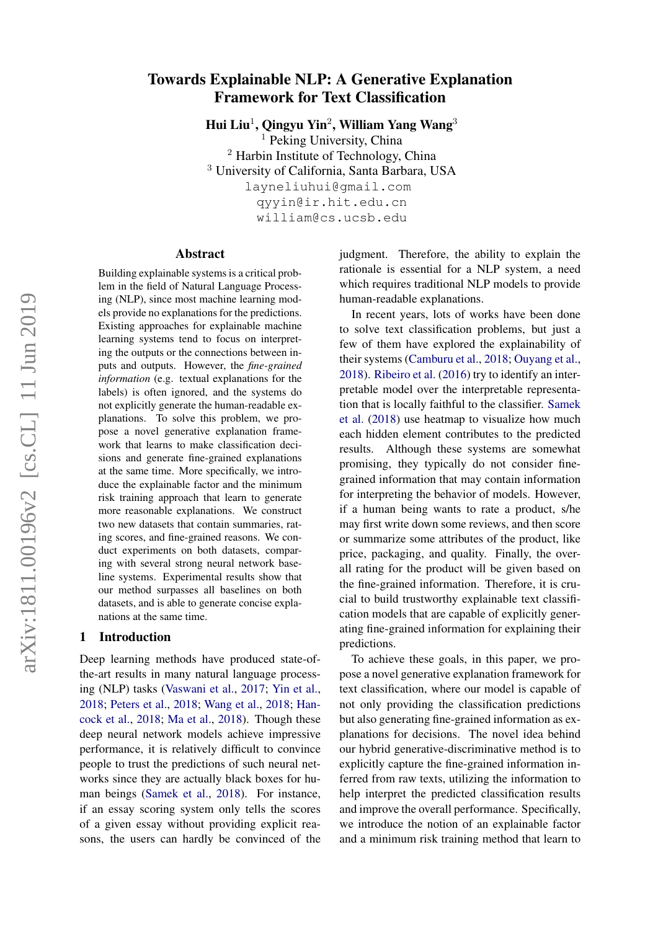# Towards Explainable NLP: A Generative Explanation Framework for Text Classification

Hui Liu<sup>1</sup>, Qingyu Yin<sup>2</sup>, William Yang Wang<sup>3</sup>

<sup>1</sup> Peking University, China <sup>2</sup> Harbin Institute of Technology, China <sup>3</sup> University of California, Santa Barbara, USA layneliuhui@gmail.com qyyin@ir.hit.edu.cn william@cs.ucsb.edu

#### Abstract

Building explainable systems is a critical problem in the field of Natural Language Processing (NLP), since most machine learning models provide no explanations for the predictions. Existing approaches for explainable machine learning systems tend to focus on interpreting the outputs or the connections between inputs and outputs. However, the *fine-grained information* (e.g. textual explanations for the labels) is often ignored, and the systems do not explicitly generate the human-readable explanations. To solve this problem, we propose a novel generative explanation framework that learns to make classification decisions and generate fine-grained explanations at the same time. More specifically, we introduce the explainable factor and the minimum risk training approach that learn to generate more reasonable explanations. We construct two new datasets that contain summaries, rating scores, and fine-grained reasons. We conduct experiments on both datasets, comparing with several strong neural network baseline systems. Experimental results show that our method surpasses all baselines on both datasets, and is able to generate concise explanations at the same time.

### 1 Introduction

Deep learning methods have produced state-ofthe-art results in many natural language processing (NLP) tasks [\(Vaswani et al.,](#page-8-0) [2017;](#page-8-0) [Yin et al.,](#page-9-0) [2018;](#page-9-0) [Peters et al.,](#page-8-1) [2018;](#page-8-1) [Wang et al.,](#page-9-1) [2018;](#page-9-1) [Han](#page-8-2)[cock et al.,](#page-8-2) [2018;](#page-8-2) [Ma et al.,](#page-8-3) [2018\)](#page-8-3). Though these deep neural network models achieve impressive performance, it is relatively difficult to convince people to trust the predictions of such neural networks since they are actually black boxes for human beings [\(Samek et al.,](#page-8-4) [2018\)](#page-8-4). For instance, if an essay scoring system only tells the scores of a given essay without providing explicit reasons, the users can hardly be convinced of the judgment. Therefore, the ability to explain the rationale is essential for a NLP system, a need which requires traditional NLP models to provide human-readable explanations.

In recent years, lots of works have been done to solve text classification problems, but just a few of them have explored the explainability of their systems [\(Camburu et al.,](#page-8-5) [2018;](#page-8-5) [Ouyang et al.,](#page-8-6) [2018\)](#page-8-6). [Ribeiro et al.](#page-8-7) [\(2016\)](#page-8-7) try to identify an interpretable model over the interpretable representation that is locally faithful to the classifier. [Samek](#page-8-4) [et al.](#page-8-4) [\(2018\)](#page-8-4) use heatmap to visualize how much each hidden element contributes to the predicted results. Although these systems are somewhat promising, they typically do not consider finegrained information that may contain information for interpreting the behavior of models. However, if a human being wants to rate a product, s/he may first write down some reviews, and then score or summarize some attributes of the product, like price, packaging, and quality. Finally, the overall rating for the product will be given based on the fine-grained information. Therefore, it is crucial to build trustworthy explainable text classification models that are capable of explicitly generating fine-grained information for explaining their predictions.

To achieve these goals, in this paper, we propose a novel generative explanation framework for text classification, where our model is capable of not only providing the classification predictions but also generating fine-grained information as explanations for decisions. The novel idea behind our hybrid generative-discriminative method is to explicitly capture the fine-grained information inferred from raw texts, utilizing the information to help interpret the predicted classification results and improve the overall performance. Specifically, we introduce the notion of an explainable factor and a minimum risk training method that learn to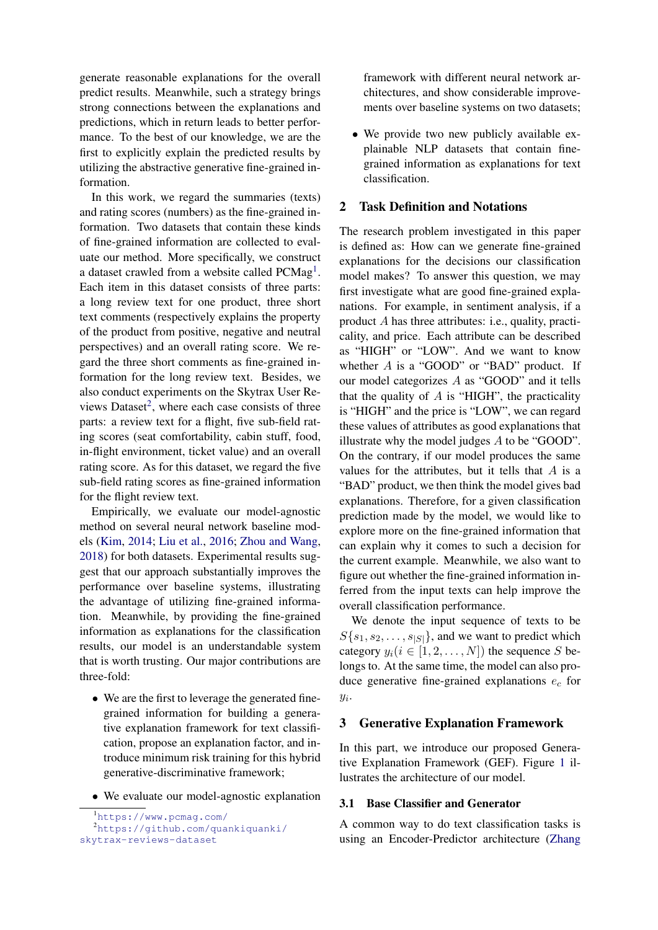generate reasonable explanations for the overall predict results. Meanwhile, such a strategy brings strong connections between the explanations and predictions, which in return leads to better performance. To the best of our knowledge, we are the first to explicitly explain the predicted results by utilizing the abstractive generative fine-grained information.

In this work, we regard the summaries (texts) and rating scores (numbers) as the fine-grained information. Two datasets that contain these kinds of fine-grained information are collected to evaluate our method. More specifically, we construct a dataset crawled from a website called  $PCMag<sup>1</sup>$  $PCMag<sup>1</sup>$  $PCMag<sup>1</sup>$ . Each item in this dataset consists of three parts: a long review text for one product, three short text comments (respectively explains the property of the product from positive, negative and neutral perspectives) and an overall rating score. We regard the three short comments as fine-grained information for the long review text. Besides, we also conduct experiments on the Skytrax User Re-views Dataset<sup>[2](#page-1-1)</sup>, where each case consists of three parts: a review text for a flight, five sub-field rating scores (seat comfortability, cabin stuff, food, in-flight environment, ticket value) and an overall rating score. As for this dataset, we regard the five sub-field rating scores as fine-grained information for the flight review text.

Empirically, we evaluate our model-agnostic method on several neural network baseline models [\(Kim,](#page-8-8) [2014;](#page-8-8) [Liu et al.,](#page-8-9) [2016;](#page-8-9) [Zhou and Wang,](#page-9-2) [2018\)](#page-9-2) for both datasets. Experimental results suggest that our approach substantially improves the performance over baseline systems, illustrating the advantage of utilizing fine-grained information. Meanwhile, by providing the fine-grained information as explanations for the classification results, our model is an understandable system that is worth trusting. Our major contributions are three-fold:

- We are the first to leverage the generated finegrained information for building a generative explanation framework for text classification, propose an explanation factor, and introduce minimum risk training for this hybrid generative-discriminative framework;
- We evaluate our model-agnostic explanation

framework with different neural network architectures, and show considerable improvements over baseline systems on two datasets;

• We provide two new publicly available explainable NLP datasets that contain finegrained information as explanations for text classification.

### 2 Task Definition and Notations

The research problem investigated in this paper is defined as: How can we generate fine-grained explanations for the decisions our classification model makes? To answer this question, we may first investigate what are good fine-grained explanations. For example, in sentiment analysis, if a product A has three attributes: i.e., quality, practicality, and price. Each attribute can be described as "HIGH" or "LOW". And we want to know whether  $A$  is a "GOOD" or "BAD" product. If our model categorizes A as "GOOD" and it tells that the quality of  $A$  is "HIGH", the practicality is "HIGH" and the price is "LOW", we can regard these values of attributes as good explanations that illustrate why the model judges A to be "GOOD". On the contrary, if our model produces the same values for the attributes, but it tells that  $A$  is a "BAD" product, we then think the model gives bad explanations. Therefore, for a given classification prediction made by the model, we would like to explore more on the fine-grained information that can explain why it comes to such a decision for the current example. Meanwhile, we also want to figure out whether the fine-grained information inferred from the input texts can help improve the overall classification performance.

We denote the input sequence of texts to be  $S\{s_1, s_2, \ldots, s_{|S|}\}\$ , and we want to predict which category  $y_i(i \in [1, 2, ..., N])$  the sequence S belongs to. At the same time, the model can also produce generative fine-grained explanations  $e_c$  for  $y_i$ .

### 3 Generative Explanation Framework

In this part, we introduce our proposed Generative Explanation Framework (GEF). Figure [1](#page-2-0) illustrates the architecture of our model.

### 3.1 Base Classifier and Generator

A common way to do text classification tasks is using an Encoder-Predictor architecture [\(Zhang](#page-9-3)

<span id="page-1-1"></span><span id="page-1-0"></span><sup>1</sup><https://www.pcmag.com/>

<sup>2</sup>[https://github.com/quankiquanki/](https://github.com/quankiquanki/skytrax-reviews-dataset) [skytrax-reviews-dataset](https://github.com/quankiquanki/skytrax-reviews-dataset)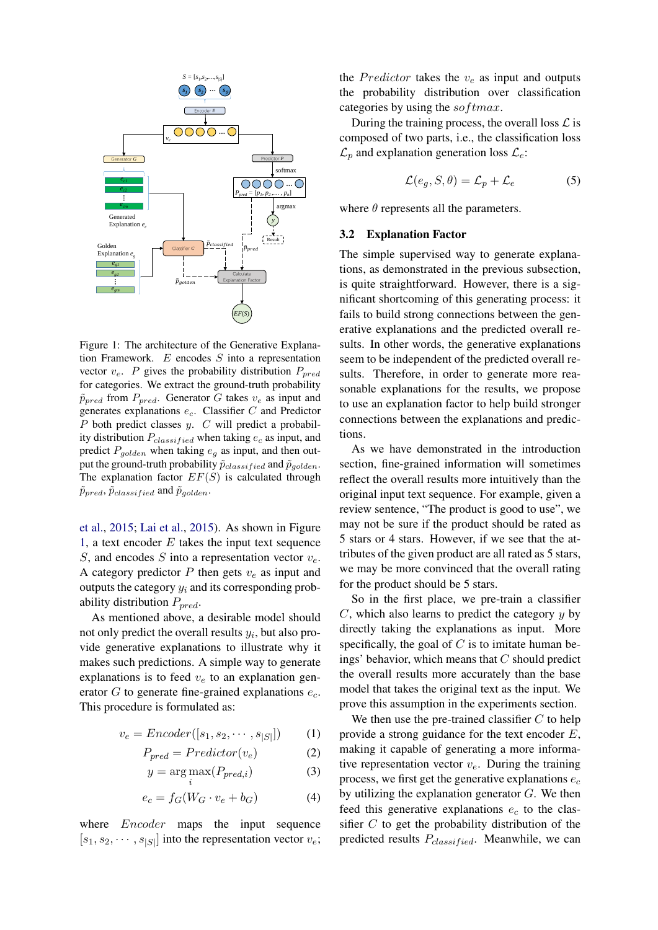<span id="page-2-0"></span>

Figure 1: The architecture of the Generative Explanation Framework. E encodes S into a representation vector  $v_e$ . P gives the probability distribution  $P_{pred}$ for categories. We extract the ground-truth probability  $\tilde{p}_{pred}$  from  $P_{pred}$ . Generator G takes  $v_e$  as input and generates explanations  $e_c$ . Classifier C and Predictor  $P$  both predict classes  $y$ .  $C$  will predict a probability distribution  $P_{classified}$  when taking  $e_c$  as input, and predict  $P_{golden}$  when taking  $e_g$  as input, and then output the ground-truth probability  $\tilde{p}_{classified}$  and  $\tilde{p}_{golden}$ . The explanation factor  $EF(S)$  is calculated through  $\tilde{p}_{pred}, \tilde{p}_{classified}$  and  $\tilde{p}_{golden}.$ 

[et al.,](#page-9-3) [2015;](#page-9-3) [Lai et al.,](#page-8-10) [2015\)](#page-8-10). As shown in Figure [1,](#page-2-0) a text encoder  $E$  takes the input text sequence S, and encodes S into a representation vector  $v_e$ . A category predictor  $P$  then gets  $v_e$  as input and outputs the category  $y_i$  and its corresponding probability distribution  $P_{pred}$ .

As mentioned above, a desirable model should not only predict the overall results  $y_i$ , but also provide generative explanations to illustrate why it makes such predictions. A simple way to generate explanations is to feed  $v_e$  to an explanation generator  $G$  to generate fine-grained explanations  $e_c$ . This procedure is formulated as:

$$
v_e = \text{Encoder}([s_1, s_2, \cdots, s_{|S|}]) \tag{1}
$$

$$
P_{pred} = Predictor(v_e)
$$
 (2)

$$
y = \arg\max_{i} (P_{pred,i})
$$
 (3)

$$
e_c = f_G(W_G \cdot v_e + b_G) \tag{4}
$$

where *Encoder* maps the input sequence  $[s_1, s_2, \cdots, s_{|S|}]$  into the representation vector  $v_e$ ;

the *Predictor* takes the  $v_e$  as input and outputs the probability distribution over classification categories by using the softmax.

During the training process, the overall loss  $\mathcal L$  is composed of two parts, i.e., the classification loss  $\mathcal{L}_p$  and explanation generation loss  $\mathcal{L}_e$ :

<span id="page-2-1"></span>
$$
\mathcal{L}(e_g, S, \theta) = \mathcal{L}_p + \mathcal{L}_e \tag{5}
$$

where  $\theta$  represents all the parameters.

### 3.2 Explanation Factor

The simple supervised way to generate explanations, as demonstrated in the previous subsection, is quite straightforward. However, there is a significant shortcoming of this generating process: it fails to build strong connections between the generative explanations and the predicted overall results. In other words, the generative explanations seem to be independent of the predicted overall results. Therefore, in order to generate more reasonable explanations for the results, we propose to use an explanation factor to help build stronger connections between the explanations and predictions.

As we have demonstrated in the introduction section, fine-grained information will sometimes reflect the overall results more intuitively than the original input text sequence. For example, given a review sentence, "The product is good to use", we may not be sure if the product should be rated as 5 stars or 4 stars. However, if we see that the attributes of the given product are all rated as 5 stars, we may be more convinced that the overall rating for the product should be 5 stars.

So in the first place, we pre-train a classifier  $C$ , which also learns to predict the category  $y$  by directly taking the explanations as input. More specifically, the goal of  $C$  is to imitate human beings' behavior, which means that  $C$  should predict the overall results more accurately than the base model that takes the original text as the input. We prove this assumption in the experiments section.

We then use the pre-trained classifier  $C$  to help provide a strong guidance for the text encoder  $E$ , making it capable of generating a more informative representation vector  $v_e$ . During the training process, we first get the generative explanations  $e_c$ by utilizing the explanation generator  $G$ . We then feed this generative explanations  $e_c$  to the classifier  $C$  to get the probability distribution of the predicted results  $P_{classified}$ . Meanwhile, we can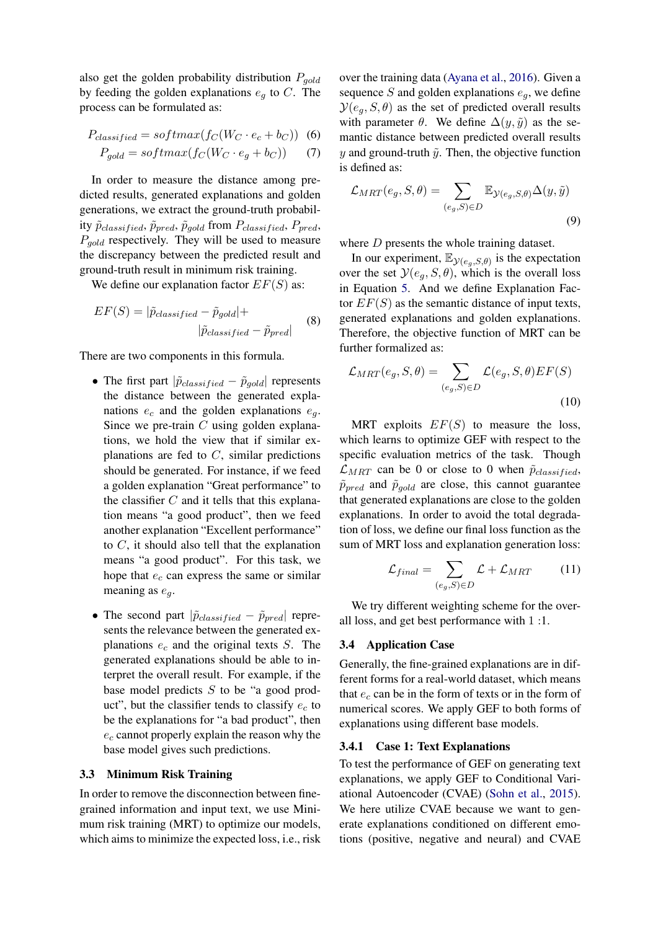also get the golden probability distribution  $P_{gold}$ by feeding the golden explanations  $e_q$  to C. The process can be formulated as:

$$
P_{classified} = softmax(f_C(W_C \cdot e_c + b_C))
$$
 (6)  

$$
P_{gold} = softmax(f_C(W_C \cdot e_g + b_C))
$$
 (7)

In order to measure the distance among predicted results, generated explanations and golden generations, we extract the ground-truth probability  $\tilde{p}_{classified}, \tilde{p}_{pred}, \tilde{p}_{gold}$  from  $P_{classified}, P_{pred},$  $P_{gold}$  respectively. They will be used to measure the discrepancy between the predicted result and ground-truth result in minimum risk training.

We define our explanation factor  $EF(S)$  as:

$$
EF(S) = |\tilde{p}_{classified} - \tilde{p}_{gold}| +
$$
  
 
$$
|\tilde{p}_{classified} - \tilde{p}_{pred}|
$$
 (8)

There are two components in this formula.

- The first part  $|\tilde{p}_{classified} \tilde{p}_{gold}|$  represents the distance between the generated explanations  $e_c$  and the golden explanations  $e_a$ . Since we pre-train  $C$  using golden explanations, we hold the view that if similar explanations are fed to  $C$ , similar predictions should be generated. For instance, if we feed a golden explanation "Great performance" to the classifier  $C$  and it tells that this explanation means "a good product", then we feed another explanation "Excellent performance" to  $C$ , it should also tell that the explanation means "a good product". For this task, we hope that  $e_c$  can express the same or similar meaning as  $e_q$ .
- The second part  $|\tilde{p}_{classified} \tilde{p}_{pred}|$  represents the relevance between the generated explanations  $e_c$  and the original texts  $S$ . The generated explanations should be able to interpret the overall result. For example, if the base model predicts S to be "a good product", but the classifier tends to classify  $e_c$  to be the explanations for "a bad product", then  $e_c$  cannot properly explain the reason why the base model gives such predictions.

#### 3.3 Minimum Risk Training

In order to remove the disconnection between finegrained information and input text, we use Minimum risk training (MRT) to optimize our models, which aims to minimize the expected loss, i.e., risk

over the training data [\(Ayana et al.,](#page-8-11) [2016\)](#page-8-11). Given a sequence S and golden explanations  $e_q$ , we define  $\mathcal{Y}(e_a, S, \theta)$  as the set of predicted overall results with parameter  $\theta$ . We define  $\Delta(y, \tilde{y})$  as the semantic distance between predicted overall results y and ground-truth  $\tilde{y}$ . Then, the objective function is defined as:

$$
\mathcal{L}_{MRT}(e_g, S, \theta) = \sum_{(e_g, S) \in D} \mathbb{E}_{\mathcal{Y}(e_g, S, \theta)} \Delta(y, \tilde{y})
$$
\n(9)

where *D* presents the whole training dataset.

In our experiment,  $\mathbb{E}_{\mathcal{Y}(e_g, S, \theta)}$  is the expectation over the set  $\mathcal{Y}(e_q, S, \theta)$ , which is the overall loss in Equation [5.](#page-2-1) And we define Explanation Factor  $EF(S)$  as the semantic distance of input texts, generated explanations and golden explanations. Therefore, the objective function of MRT can be further formalized as:

$$
\mathcal{L}_{MRT}(e_g, S, \theta) = \sum_{(e_g, S) \in D} \mathcal{L}(e_g, S, \theta) EF(S)
$$
\n(10)

MRT exploits  $EF(S)$  to measure the loss, which learns to optimize GEF with respect to the specific evaluation metrics of the task. Though  $\mathcal{L}_{MRT}$  can be 0 or close to 0 when  $\tilde{p}_{classified}$ ,  $\tilde{p}_{pred}$  and  $\tilde{p}_{gold}$  are close, this cannot guarantee that generated explanations are close to the golden explanations. In order to avoid the total degradation of loss, we define our final loss function as the sum of MRT loss and explanation generation loss:

$$
\mathcal{L}_{final} = \sum_{(e_g, S) \in D} \mathcal{L} + \mathcal{L}_{MRT} \tag{11}
$$

We try different weighting scheme for the overall loss, and get best performance with 1 :1.

### 3.4 Application Case

Generally, the fine-grained explanations are in different forms for a real-world dataset, which means that  $e_c$  can be in the form of texts or in the form of numerical scores. We apply GEF to both forms of explanations using different base models.

#### 3.4.1 Case 1: Text Explanations

To test the performance of GEF on generating text explanations, we apply GEF to Conditional Variational Autoencoder (CVAE) [\(Sohn et al.,](#page-8-12) [2015\)](#page-8-12). We here utilize CVAE because we want to generate explanations conditioned on different emotions (positive, negative and neural) and CVAE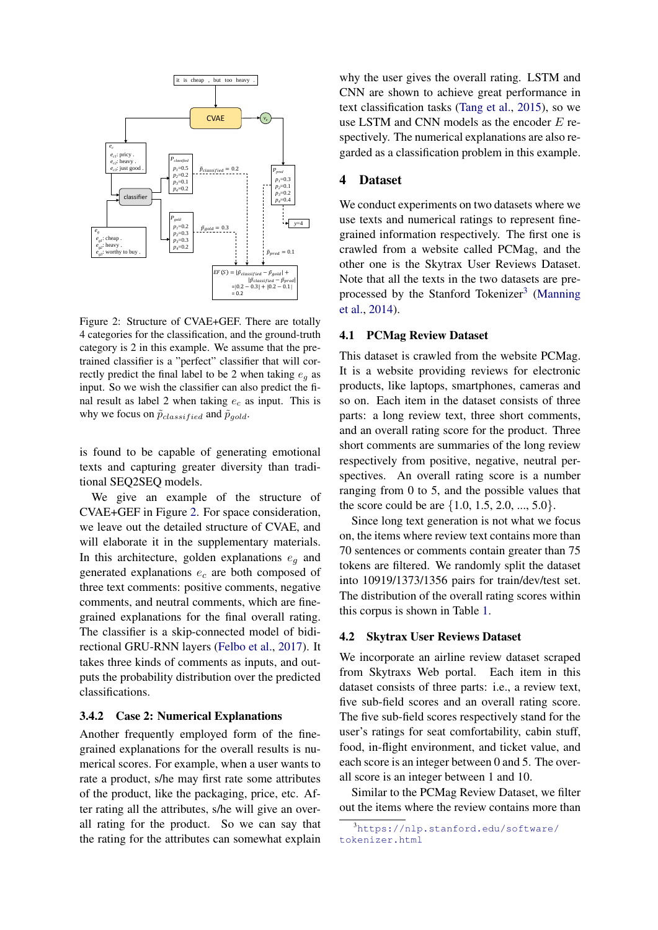<span id="page-4-0"></span>

Figure 2: Structure of CVAE+GEF. There are totally 4 categories for the classification, and the ground-truth category is 2 in this example. We assume that the pretrained classifier is a "perfect" classifier that will correctly predict the final label to be 2 when taking  $e_a$  as input. So we wish the classifier can also predict the final result as label 2 when taking  $e_c$  as input. This is why we focus on  $\tilde{p}_{classified}$  and  $\tilde{p}_{gold}$ .

is found to be capable of generating emotional texts and capturing greater diversity than traditional SEQ2SEQ models.

We give an example of the structure of CVAE+GEF in Figure [2.](#page-4-0) For space consideration, we leave out the detailed structure of CVAE, and will elaborate it in the supplementary materials. In this architecture, golden explanations  $e_q$  and generated explanations  $e_c$  are both composed of three text comments: positive comments, negative comments, and neutral comments, which are finegrained explanations for the final overall rating. The classifier is a skip-connected model of bidirectional GRU-RNN layers [\(Felbo et al.,](#page-8-13) [2017\)](#page-8-13). It takes three kinds of comments as inputs, and outputs the probability distribution over the predicted classifications.

#### 3.4.2 Case 2: Numerical Explanations

Another frequently employed form of the finegrained explanations for the overall results is numerical scores. For example, when a user wants to rate a product, s/he may first rate some attributes of the product, like the packaging, price, etc. After rating all the attributes, s/he will give an overall rating for the product. So we can say that the rating for the attributes can somewhat explain

why the user gives the overall rating. LSTM and CNN are shown to achieve great performance in text classification tasks [\(Tang et al.,](#page-8-14) [2015\)](#page-8-14), so we use LSTM and CNN models as the encoder E respectively. The numerical explanations are also regarded as a classification problem in this example.

### 4 Dataset

We conduct experiments on two datasets where we use texts and numerical ratings to represent finegrained information respectively. The first one is crawled from a website called PCMag, and the other one is the Skytrax User Reviews Dataset. Note that all the texts in the two datasets are pre-processed by the Stanford Tokenizer<sup>[3](#page-4-1)</sup> [\(Manning](#page-8-15) [et al.,](#page-8-15) [2014\)](#page-8-15).

### 4.1 PCMag Review Dataset

This dataset is crawled from the website PCMag. It is a website providing reviews for electronic products, like laptops, smartphones, cameras and so on. Each item in the dataset consists of three parts: a long review text, three short comments, and an overall rating score for the product. Three short comments are summaries of the long review respectively from positive, negative, neutral perspectives. An overall rating score is a number ranging from 0 to 5, and the possible values that the score could be are  $\{1.0, 1.5, 2.0, ..., 5.0\}.$ 

Since long text generation is not what we focus on, the items where review text contains more than 70 sentences or comments contain greater than 75 tokens are filtered. We randomly split the dataset into 10919/1373/1356 pairs for train/dev/test set. The distribution of the overall rating scores within this corpus is shown in Table [1.](#page-5-0)

#### 4.2 Skytrax User Reviews Dataset

We incorporate an airline review dataset scraped from Skytraxs Web portal. Each item in this dataset consists of three parts: i.e., a review text, five sub-field scores and an overall rating score. The five sub-field scores respectively stand for the user's ratings for seat comfortability, cabin stuff, food, in-flight environment, and ticket value, and each score is an integer between 0 and 5. The overall score is an integer between 1 and 10.

Similar to the PCMag Review Dataset, we filter out the items where the review contains more than

<span id="page-4-1"></span><sup>3</sup>[https://nlp.stanford.edu/software/](https://nlp.stanford.edu/software/tokenizer.html) [tokenizer.html](https://nlp.stanford.edu/software/tokenizer.html)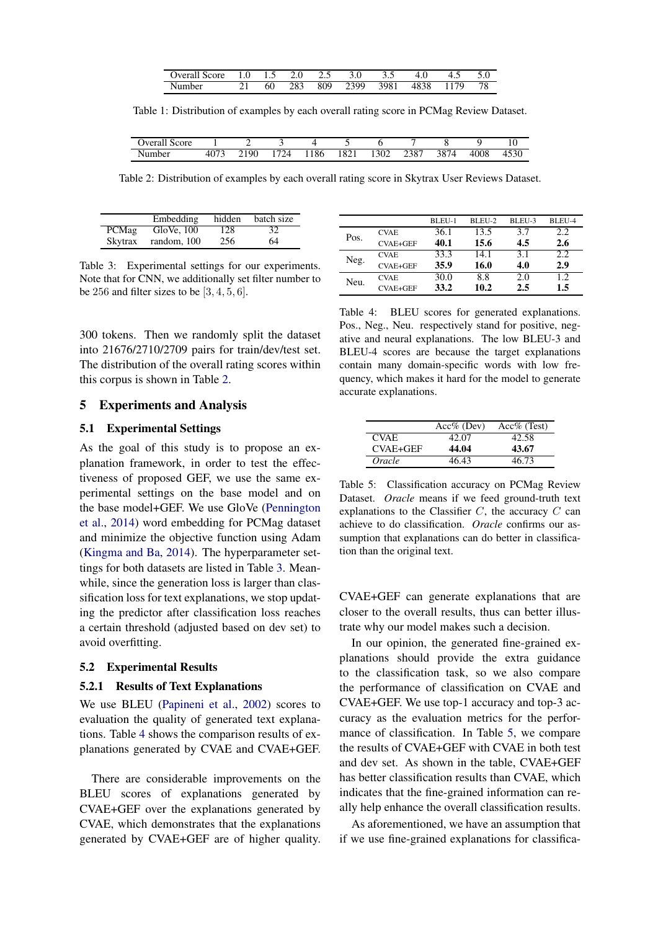| core<br>lvera | 1.U |    | <u>.</u> | ن ک |      | .    | . | - | <u>.</u> |
|---------------|-----|----|----------|-----|------|------|---|---|----------|
| Number        |     | 60 | 283      | 809 | 2300 | 3981 |   |   | 0        |

<span id="page-5-0"></span>Table 1: Distribution of examples by each overall rating score in PCMag Review Dataset.

<span id="page-5-1"></span>

| $\sim$<br>Score<br>verali. |                      |      |     |      |      |      |      |      |      | 1 V            |
|----------------------------|----------------------|------|-----|------|------|------|------|------|------|----------------|
| Number                     | 1077<br>41<br>TV / J | 2190 | 724 | 1186 | 1821 | 1302 | 2387 | 3874 | 4008 | 150C<br>49 J U |

Table 2: Distribution of examples by each overall rating score in Skytrax User Reviews Dataset.

<span id="page-5-2"></span>

|         | Embedding   | hidden | batch size |
|---------|-------------|--------|------------|
| PCMag   | GloVe, 100  | 128    | 32         |
| Skytrax | random, 100 | 256    | 64         |

Table 3: Experimental settings for our experiments. Note that for CNN, we additionally set filter number to be 256 and filter sizes to be  $[3, 4, 5, 6]$ .

300 tokens. Then we randomly split the dataset into 21676/2710/2709 pairs for train/dev/test set. The distribution of the overall rating scores within this corpus is shown in Table [2.](#page-5-1)

### 5 Experiments and Analysis

### 5.1 Experimental Settings

As the goal of this study is to propose an explanation framework, in order to test the effectiveness of proposed GEF, we use the same experimental settings on the base model and on the base model+GEF. We use GloVe [\(Pennington](#page-8-16) [et al.,](#page-8-16) [2014\)](#page-8-16) word embedding for PCMag dataset and minimize the objective function using Adam [\(Kingma and Ba,](#page-8-17) [2014\)](#page-8-17). The hyperparameter settings for both datasets are listed in Table [3.](#page-5-2) Meanwhile, since the generation loss is larger than classification loss for text explanations, we stop updating the predictor after classification loss reaches a certain threshold (adjusted based on dev set) to avoid overfitting.

#### 5.2 Experimental Results

#### 5.2.1 Results of Text Explanations

We use BLEU [\(Papineni et al.,](#page-8-18) [2002\)](#page-8-18) scores to evaluation the quality of generated text explanations. Table [4](#page-5-3) shows the comparison results of explanations generated by CVAE and CVAE+GEF.

There are considerable improvements on the BLEU scores of explanations generated by CVAE+GEF over the explanations generated by CVAE, which demonstrates that the explanations generated by CVAE+GEF are of higher quality.

<span id="page-5-3"></span>

|      |                 | BLEU-1 | BLEU-2 | BLEU-3 | BLEU-4 |
|------|-----------------|--------|--------|--------|--------|
| Pos. | <b>CVAE</b>     | 36.1   | 13.5   | 3.7    | 2.2    |
|      | CVAE+GEF        | 40.1   | 15.6   | 4.5    | 2.6    |
| Neg. | <b>CVAE</b>     | 33.3   | 14.1   | 3.1    | 2.2    |
|      | <b>CVAE+GEF</b> | 35.9   | 16.0   | 4.0    | 2.9    |
| Neu. | <b>CVAE</b>     | 30.0   | 8.8    | 2.0    | 1.2.   |
|      | <b>CVAE+GEF</b> | 33.2   | 10.2   | 2.5    | 1.5    |

Table 4: BLEU scores for generated explanations. Pos., Neg., Neu. respectively stand for positive, negative and neural explanations. The low BLEU-3 and BLEU-4 scores are because the target explanations contain many domain-specific words with low frequency, which makes it hard for the model to generate accurate explanations.

<span id="page-5-4"></span>

|             | $Acc\%$ (Dev) | $Acc\%$ (Test) |
|-------------|---------------|----------------|
| <b>CVAE</b> | 42.07         | 42.58          |
| CVAE+GEF    | 44.04         | 43.67          |
| Oracle      | 46.43         | 46.73          |

Table 5: Classification accuracy on PCMag Review Dataset. *Oracle* means if we feed ground-truth text explanations to the Classifier  $C$ , the accuracy  $C$  can achieve to do classification. *Oracle* confirms our assumption that explanations can do better in classification than the original text.

CVAE+GEF can generate explanations that are closer to the overall results, thus can better illustrate why our model makes such a decision.

In our opinion, the generated fine-grained explanations should provide the extra guidance to the classification task, so we also compare the performance of classification on CVAE and CVAE+GEF. We use top-1 accuracy and top-3 accuracy as the evaluation metrics for the performance of classification. In Table [5,](#page-5-4) we compare the results of CVAE+GEF with CVAE in both test and dev set. As shown in the table, CVAE+GEF has better classification results than CVAE, which indicates that the fine-grained information can really help enhance the overall classification results.

As aforementioned, we have an assumption that if we use fine-grained explanations for classifica-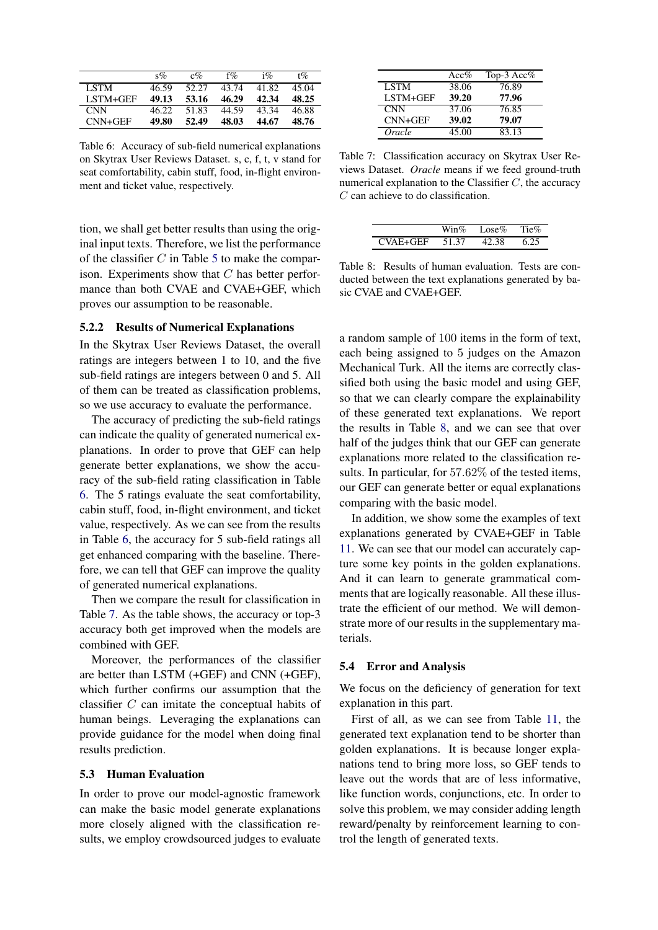<span id="page-6-0"></span>

|             | $s\%$ | $c\%$ | $f\%$ | $1\%$ | $t\%$ |
|-------------|-------|-------|-------|-------|-------|
| <b>LSTM</b> | 46.59 | 52.27 | 43.74 | 41.82 | 45.04 |
| LSTM+GEF    | 49.13 | 53.16 | 46.29 | 42.34 | 48.25 |
| <b>CNN</b>  | 46.22 | 51.83 | 44.59 | 43.34 | 46.88 |
| $CNN+GEF$   | 49.80 | 52.49 | 48.03 | 44.67 | 48.76 |

Table 6: Accuracy of sub-field numerical explanations on Skytrax User Reviews Dataset. s, c, f, t, v stand for seat comfortability, cabin stuff, food, in-flight environment and ticket value, respectively.

tion, we shall get better results than using the original input texts. Therefore, we list the performance of the classifier  $C$  in Table [5](#page-5-4) to make the comparison. Experiments show that  $C$  has better performance than both CVAE and CVAE+GEF, which proves our assumption to be reasonable.

#### 5.2.2 Results of Numerical Explanations

In the Skytrax User Reviews Dataset, the overall ratings are integers between 1 to 10, and the five sub-field ratings are integers between 0 and 5. All of them can be treated as classification problems, so we use accuracy to evaluate the performance.

The accuracy of predicting the sub-field ratings can indicate the quality of generated numerical explanations. In order to prove that GEF can help generate better explanations, we show the accuracy of the sub-field rating classification in Table [6.](#page-6-0) The 5 ratings evaluate the seat comfortability, cabin stuff, food, in-flight environment, and ticket value, respectively. As we can see from the results in Table [6,](#page-6-0) the accuracy for 5 sub-field ratings all get enhanced comparing with the baseline. Therefore, we can tell that GEF can improve the quality of generated numerical explanations.

Then we compare the result for classification in Table [7.](#page-6-1) As the table shows, the accuracy or top-3 accuracy both get improved when the models are combined with GEF.

Moreover, the performances of the classifier are better than LSTM (+GEF) and CNN (+GEF), which further confirms our assumption that the classifier C can imitate the conceptual habits of human beings. Leveraging the explanations can provide guidance for the model when doing final results prediction.

#### 5.3 Human Evaluation

In order to prove our model-agnostic framework can make the basic model generate explanations more closely aligned with the classification results, we employ crowdsourced judges to evaluate

<span id="page-6-1"></span>

|             | Acc%  | Top-3 Acc $%$ |
|-------------|-------|---------------|
| <b>LSTM</b> | 38.06 | 76.89         |
| LSTM+GEF    | 39.20 | 77.96         |
| <b>CNN</b>  | 37.06 | 76.85         |
| $CNN+GEF$   | 39.02 | 79.07         |
| Oracle      | 45.00 | 83.13         |

Table 7: Classification accuracy on Skytrax User Reviews Dataset. *Oracle* means if we feed ground-truth numerical explanation to the Classifier  $C$ , the accuracy C can achieve to do classification.

<span id="page-6-2"></span>

|         | $\nabla$ in $\%$ | Lose $\%$ | Tie% |
|---------|------------------|-----------|------|
| VAE+GEE | 51.37            | 12 38     |      |

Table 8: Results of human evaluation. Tests are conducted between the text explanations generated by basic CVAE and CVAE+GEF.

a random sample of 100 items in the form of text, each being assigned to 5 judges on the Amazon Mechanical Turk. All the items are correctly classified both using the basic model and using GEF, so that we can clearly compare the explainability of these generated text explanations. We report the results in Table [8,](#page-6-2) and we can see that over half of the judges think that our GEF can generate explanations more related to the classification results. In particular, for 57.62% of the tested items, our GEF can generate better or equal explanations comparing with the basic model.

In addition, we show some the examples of text explanations generated by CVAE+GEF in Table [11.](#page-11-0) We can see that our model can accurately capture some key points in the golden explanations. And it can learn to generate grammatical comments that are logically reasonable. All these illustrate the efficient of our method. We will demonstrate more of our results in the supplementary materials.

#### 5.4 Error and Analysis

We focus on the deficiency of generation for text explanation in this part.

First of all, as we can see from Table [11,](#page-11-0) the generated text explanation tend to be shorter than golden explanations. It is because longer explanations tend to bring more loss, so GEF tends to leave out the words that are of less informative, like function words, conjunctions, etc. In order to solve this problem, we may consider adding length reward/penalty by reinforcement learning to control the length of generated texts.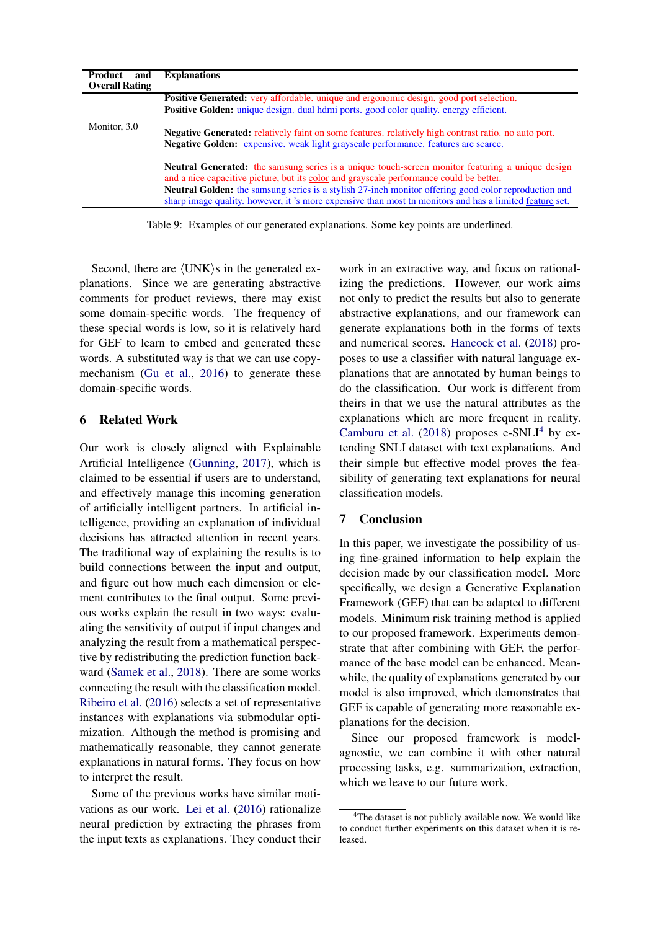| Product<br>and        | <b>Explanations</b>                                                                                                                                                                                                   |
|-----------------------|-----------------------------------------------------------------------------------------------------------------------------------------------------------------------------------------------------------------------|
| <b>Overall Rating</b> |                                                                                                                                                                                                                       |
|                       | <b>Positive Generated:</b> very affordable, unique and ergonomic design, good port selection.                                                                                                                         |
|                       | Positive Golden: unique design. dual hdmi ports. good color quality. energy efficient.                                                                                                                                |
| Monitor, 3.0          | <b>Negative Generated:</b> relatively faint on some features, relatively high contrast ratio, no auto port.<br>Negative Golden: expensive. weak light grayscale performance. features are scarce.                     |
|                       | <b>Neutral Generated:</b> the samsung series is a unique touch-screen monitor featuring a unique design<br>and a nice capacitive picture, but its color and grayscale performance could be better.                    |
|                       | <b>Neutral Golden:</b> the samsung series is a stylish 27-inch monitor offering good color reproduction and<br>sharp image quality, however, it's more expensive than most tn monitors and has a limited feature set. |

Table 9: Examples of our generated explanations. Some key points are underlined.

Second, there are  $\langle$  UNK $\rangle$ s in the generated explanations. Since we are generating abstractive comments for product reviews, there may exist some domain-specific words. The frequency of these special words is low, so it is relatively hard for GEF to learn to embed and generated these words. A substituted way is that we can use copymechanism [\(Gu et al.,](#page-8-19) [2016\)](#page-8-19) to generate these domain-specific words.

## 6 Related Work

Our work is closely aligned with Explainable Artificial Intelligence [\(Gunning,](#page-8-20) [2017\)](#page-8-20), which is claimed to be essential if users are to understand, and effectively manage this incoming generation of artificially intelligent partners. In artificial intelligence, providing an explanation of individual decisions has attracted attention in recent years. The traditional way of explaining the results is to build connections between the input and output, and figure out how much each dimension or element contributes to the final output. Some previous works explain the result in two ways: evaluating the sensitivity of output if input changes and analyzing the result from a mathematical perspective by redistributing the prediction function backward [\(Samek et al.,](#page-8-4) [2018\)](#page-8-4). There are some works connecting the result with the classification model. [Ribeiro et al.](#page-8-7) [\(2016\)](#page-8-7) selects a set of representative instances with explanations via submodular optimization. Although the method is promising and mathematically reasonable, they cannot generate explanations in natural forms. They focus on how to interpret the result.

Some of the previous works have similar motivations as our work. [Lei et al.](#page-8-21) [\(2016\)](#page-8-21) rationalize neural prediction by extracting the phrases from the input texts as explanations. They conduct their

work in an extractive way, and focus on rationalizing the predictions. However, our work aims not only to predict the results but also to generate abstractive explanations, and our framework can generate explanations both in the forms of texts and numerical scores. [Hancock et al.](#page-8-2) [\(2018\)](#page-8-2) proposes to use a classifier with natural language explanations that are annotated by human beings to do the classification. Our work is different from theirs in that we use the natural attributes as the explanations which are more frequent in reality. [Camburu et al.](#page-8-5)  $(2018)$  proposes e-SNLI<sup>[4](#page-7-0)</sup> by extending SNLI dataset with text explanations. And their simple but effective model proves the feasibility of generating text explanations for neural classification models.

# 7 Conclusion

In this paper, we investigate the possibility of using fine-grained information to help explain the decision made by our classification model. More specifically, we design a Generative Explanation Framework (GEF) that can be adapted to different models. Minimum risk training method is applied to our proposed framework. Experiments demonstrate that after combining with GEF, the performance of the base model can be enhanced. Meanwhile, the quality of explanations generated by our model is also improved, which demonstrates that GEF is capable of generating more reasonable explanations for the decision.

Since our proposed framework is modelagnostic, we can combine it with other natural processing tasks, e.g. summarization, extraction, which we leave to our future work.

<span id="page-7-0"></span><sup>&</sup>lt;sup>4</sup>The dataset is not publicly available now. We would like to conduct further experiments on this dataset when it is released.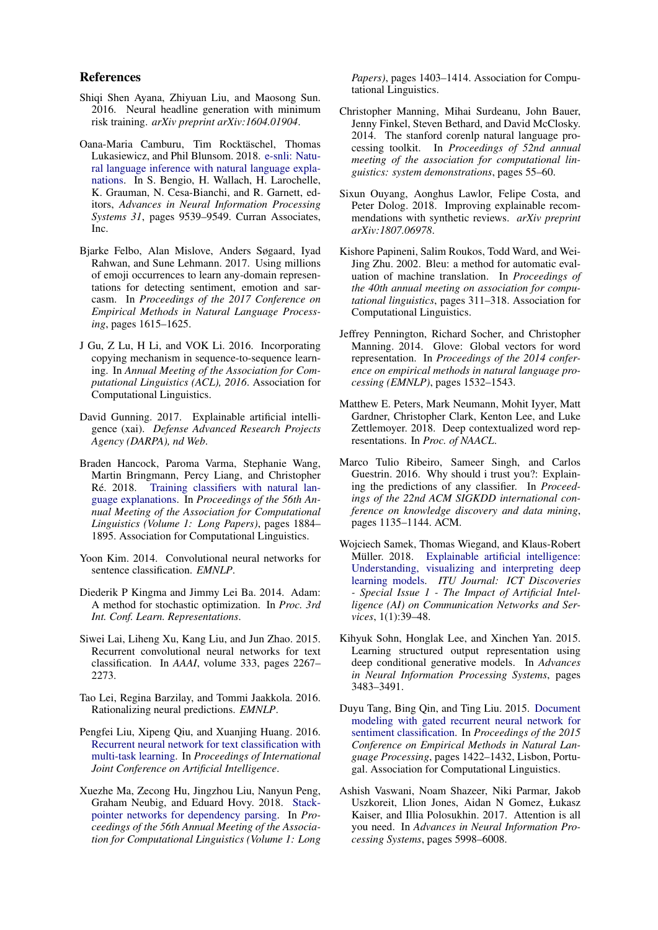#### References

- <span id="page-8-11"></span>Shiqi Shen Ayana, Zhiyuan Liu, and Maosong Sun. 2016. Neural headline generation with minimum risk training. *arXiv preprint arXiv:1604.01904*.
- <span id="page-8-5"></span>Oana-Maria Camburu, Tim Rocktäschel, Thomas Lukasiewicz, and Phil Blunsom. 2018. [e-snli: Natu](http://papers.nips.cc/paper/8163-e-snli-natural-language-inference-with-natural-language-explanations.pdf)[ral language inference with natural language expla](http://papers.nips.cc/paper/8163-e-snli-natural-language-inference-with-natural-language-explanations.pdf)[nations.](http://papers.nips.cc/paper/8163-e-snli-natural-language-inference-with-natural-language-explanations.pdf) In S. Bengio, H. Wallach, H. Larochelle, K. Grauman, N. Cesa-Bianchi, and R. Garnett, editors, *Advances in Neural Information Processing Systems 31*, pages 9539–9549. Curran Associates, Inc.
- <span id="page-8-13"></span>Bjarke Felbo, Alan Mislove, Anders Søgaard, Iyad Rahwan, and Sune Lehmann. 2017. Using millions of emoji occurrences to learn any-domain representations for detecting sentiment, emotion and sarcasm. In *Proceedings of the 2017 Conference on Empirical Methods in Natural Language Processing*, pages 1615–1625.
- <span id="page-8-19"></span>J Gu, Z Lu, H Li, and VOK Li. 2016. Incorporating copying mechanism in sequence-to-sequence learning. In *Annual Meeting of the Association for Computational Linguistics (ACL), 2016*. Association for Computational Linguistics.
- <span id="page-8-20"></span>David Gunning. 2017. Explainable artificial intelligence (xai). *Defense Advanced Research Projects Agency (DARPA), nd Web*.
- <span id="page-8-2"></span>Braden Hancock, Paroma Varma, Stephanie Wang, Martin Bringmann, Percy Liang, and Christopher Ré. 2018. [Training classifiers with natural lan](http://aclweb.org/anthology/P18-1175)[guage explanations.](http://aclweb.org/anthology/P18-1175) In *Proceedings of the 56th Annual Meeting of the Association for Computational Linguistics (Volume 1: Long Papers)*, pages 1884– 1895. Association for Computational Linguistics.
- <span id="page-8-8"></span>Yoon Kim. 2014. Convolutional neural networks for sentence classification. *EMNLP*.
- <span id="page-8-17"></span>Diederik P Kingma and Jimmy Lei Ba. 2014. Adam: A method for stochastic optimization. In *Proc. 3rd Int. Conf. Learn. Representations*.
- <span id="page-8-10"></span>Siwei Lai, Liheng Xu, Kang Liu, and Jun Zhao. 2015. Recurrent convolutional neural networks for text classification. In *AAAI*, volume 333, pages 2267– 2273.
- <span id="page-8-21"></span>Tao Lei, Regina Barzilay, and Tommi Jaakkola. 2016. Rationalizing neural predictions. *EMNLP*.
- <span id="page-8-9"></span>Pengfei Liu, Xipeng Qiu, and Xuanjing Huang. 2016. [Recurrent neural network for text classification with](https://arxiv.org/abs/1605.05101) [multi-task learning.](https://arxiv.org/abs/1605.05101) In *Proceedings of International Joint Conference on Artificial Intelligence*.
- <span id="page-8-3"></span>Xuezhe Ma, Zecong Hu, Jingzhou Liu, Nanyun Peng, Graham Neubig, and Eduard Hovy. 2018. [Stack](http://aclweb.org/anthology/P18-1130)[pointer networks for dependency parsing.](http://aclweb.org/anthology/P18-1130) In *Proceedings of the 56th Annual Meeting of the Association for Computational Linguistics (Volume 1: Long*

*Papers)*, pages 1403–1414. Association for Computational Linguistics.

- <span id="page-8-15"></span>Christopher Manning, Mihai Surdeanu, John Bauer, Jenny Finkel, Steven Bethard, and David McClosky. 2014. The stanford corenlp natural language processing toolkit. In *Proceedings of 52nd annual meeting of the association for computational linguistics: system demonstrations*, pages 55–60.
- <span id="page-8-6"></span>Sixun Ouyang, Aonghus Lawlor, Felipe Costa, and Peter Dolog. 2018. Improving explainable recommendations with synthetic reviews. *arXiv preprint arXiv:1807.06978*.
- <span id="page-8-18"></span>Kishore Papineni, Salim Roukos, Todd Ward, and Wei-Jing Zhu. 2002. Bleu: a method for automatic evaluation of machine translation. In *Proceedings of the 40th annual meeting on association for computational linguistics*, pages 311–318. Association for Computational Linguistics.
- <span id="page-8-16"></span>Jeffrey Pennington, Richard Socher, and Christopher Manning. 2014. Glove: Global vectors for word representation. In *Proceedings of the 2014 conference on empirical methods in natural language processing (EMNLP)*, pages 1532–1543.
- <span id="page-8-1"></span>Matthew E. Peters, Mark Neumann, Mohit Iyyer, Matt Gardner, Christopher Clark, Kenton Lee, and Luke Zettlemoyer. 2018. Deep contextualized word representations. In *Proc. of NAACL*.
- <span id="page-8-7"></span>Marco Tulio Ribeiro, Sameer Singh, and Carlos Guestrin. 2016. Why should i trust you?: Explaining the predictions of any classifier. In *Proceedings of the 22nd ACM SIGKDD international conference on knowledge discovery and data mining*, pages 1135–1144. ACM.
- <span id="page-8-4"></span>Wojciech Samek, Thomas Wiegand, and Klaus-Robert Müller. 2018. [Explainable artificial intelligence:](https://www.itu.int/en/journal/001/Pages/05.aspx) [Understanding, visualizing and interpreting deep](https://www.itu.int/en/journal/001/Pages/05.aspx) [learning models.](https://www.itu.int/en/journal/001/Pages/05.aspx) *ITU Journal: ICT Discoveries - Special Issue 1 - The Impact of Artificial Intelligence (AI) on Communication Networks and Services*, 1(1):39–48.
- <span id="page-8-12"></span>Kihyuk Sohn, Honglak Lee, and Xinchen Yan. 2015. Learning structured output representation using deep conditional generative models. In *Advances in Neural Information Processing Systems*, pages 3483–3491.
- <span id="page-8-14"></span>Duyu Tang, Bing Qin, and Ting Liu. 2015. [Document](http://aclweb.org/anthology/D15-1167) [modeling with gated recurrent neural network for](http://aclweb.org/anthology/D15-1167) [sentiment classification.](http://aclweb.org/anthology/D15-1167) In *Proceedings of the 2015 Conference on Empirical Methods in Natural Language Processing*, pages 1422–1432, Lisbon, Portugal. Association for Computational Linguistics.
- <span id="page-8-0"></span>Ashish Vaswani, Noam Shazeer, Niki Parmar, Jakob Uszkoreit, Llion Jones, Aidan N Gomez, Łukasz Kaiser, and Illia Polosukhin. 2017. Attention is all you need. In *Advances in Neural Information Processing Systems*, pages 5998–6008.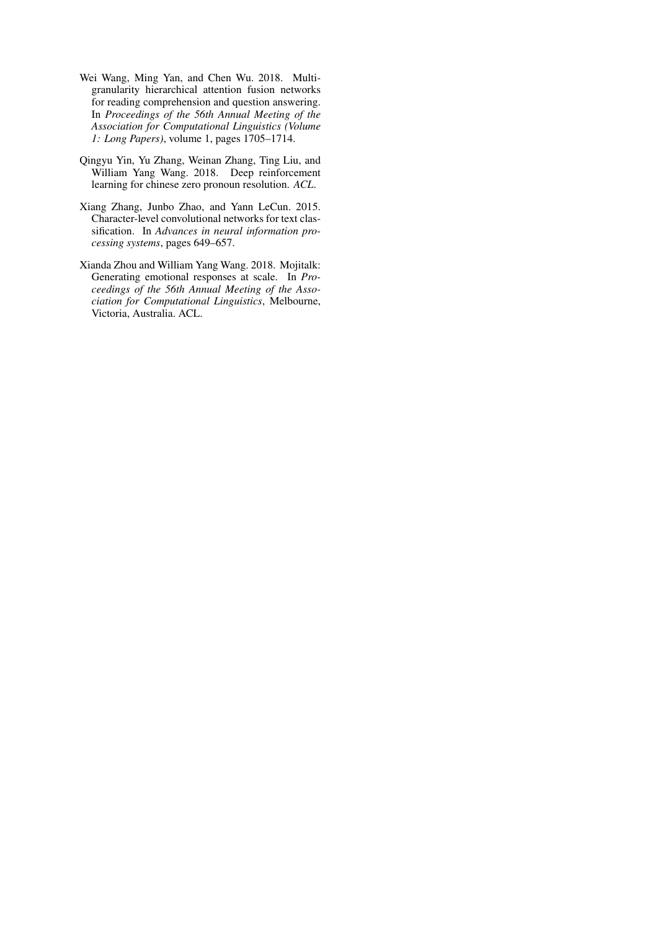- <span id="page-9-1"></span>Wei Wang, Ming Yan, and Chen Wu. 2018. Multigranularity hierarchical attention fusion networks for reading comprehension and question answering. In *Proceedings of the 56th Annual Meeting of the Association for Computational Linguistics (Volume 1: Long Papers)*, volume 1, pages 1705–1714.
- <span id="page-9-0"></span>Qingyu Yin, Yu Zhang, Weinan Zhang, Ting Liu, and William Yang Wang. 2018. Deep reinforcement learning for chinese zero pronoun resolution. *ACL*.
- <span id="page-9-3"></span>Xiang Zhang, Junbo Zhao, and Yann LeCun. 2015. Character-level convolutional networks for text classification. In *Advances in neural information processing systems*, pages 649–657.
- <span id="page-9-2"></span>Xianda Zhou and William Yang Wang. 2018. Mojitalk: Generating emotional responses at scale. In *Proceedings of the 56th Annual Meeting of the Association for Computational Linguistics*, Melbourne, Victoria, Australia. ACL.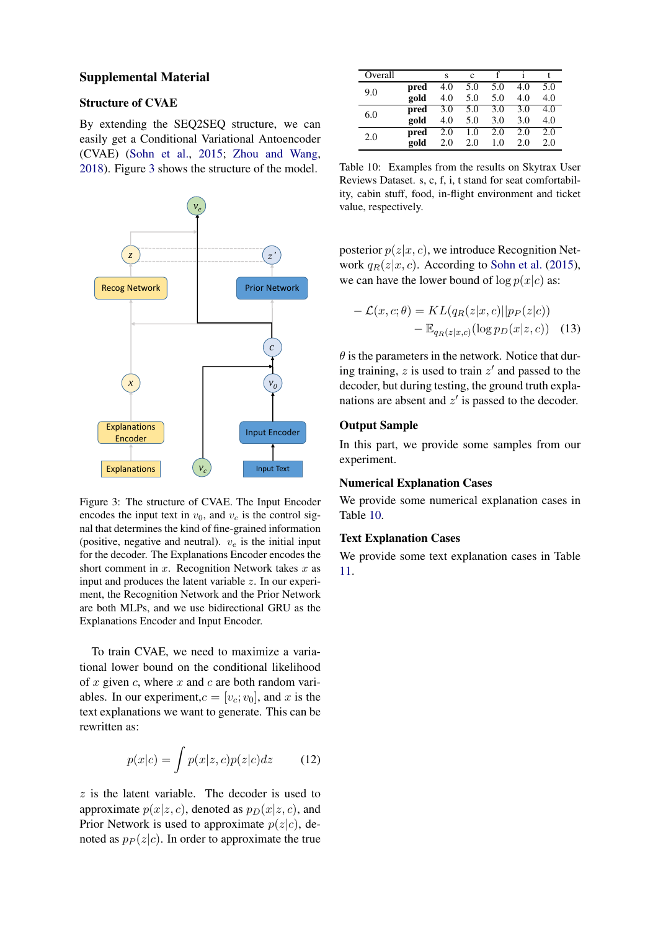#### Supplemental Material

### Structure of CVAE

By extending the SEQ2SEQ structure, we can easily get a Conditional Variational Antoencoder (CVAE) [\(Sohn et al.,](#page-8-12) [2015;](#page-8-12) [Zhou and Wang,](#page-9-2) [2018\)](#page-9-2). Figure [3](#page-10-0) shows the structure of the model.

<span id="page-10-0"></span>

Figure 3: The structure of CVAE. The Input Encoder encodes the input text in  $v_0$ , and  $v_c$  is the control signal that determines the kind of fine-grained information (positive, negative and neutral).  $v_e$  is the initial input for the decoder. The Explanations Encoder encodes the short comment in  $x$ . Recognition Network takes  $x$  as input and produces the latent variable z. In our experiment, the Recognition Network and the Prior Network are both MLPs, and we use bidirectional GRU as the Explanations Encoder and Input Encoder.

To train CVAE, we need to maximize a variational lower bound on the conditional likelihood of  $x$  given  $c$ , where  $x$  and  $c$  are both random variables. In our experiment,  $c = [v_c; v_0]$ , and x is the text explanations we want to generate. This can be rewritten as:

$$
p(x|c) = \int p(x|z, c)p(z|c)dz \qquad (12)
$$

 $z$  is the latent variable. The decoder is used to approximate  $p(x|z, c)$ , denoted as  $p_D(x|z, c)$ , and Prior Network is used to approximate  $p(z|c)$ , denoted as  $p_P(z|c)$ . In order to approximate the true

<span id="page-10-1"></span>

| Overall |      | S   | c   |     |     |     |
|---------|------|-----|-----|-----|-----|-----|
| 9.0     | pred | 4.0 | 5.0 | 5.0 | 4.0 | 5.0 |
|         | gold | 4.0 | 5.0 | 5.0 | 4.0 | 4.0 |
| 6.0     | pred | 3.0 | 5.0 | 3.0 | 3.0 | 4.0 |
|         | gold | 4.0 | 5.0 | 3.0 | 3.0 | 4.0 |
| 2.0     | pred | 2.0 | 1.0 | 2.0 | 2.0 | 2.0 |
|         | gold | 2.0 | 2.0 | 1.0 | 2.0 | 2.0 |

Table 10: Examples from the results on Skytrax User Reviews Dataset. s, c, f, i, t stand for seat comfortability, cabin stuff, food, in-flight environment and ticket value, respectively.

posterior  $p(z|x, c)$ , we introduce Recognition Network  $q_R(z|x, c)$ . According to [Sohn et al.](#page-8-12) [\(2015\)](#page-8-12), we can have the lower bound of  $\log p(x|c)$  as:

$$
- \mathcal{L}(x, c; \theta) = KL(q_R(z|x, c)||p_P(z|c))
$$
  
- 
$$
\mathbb{E}_{q_R(z|x, c)}(\log p_D(x|z, c))
$$
 (13)

 $\theta$  is the parameters in the network. Notice that during training,  $z$  is used to train  $z'$  and passed to the decoder, but during testing, the ground truth explanations are absent and  $z'$  is passed to the decoder.

### Output Sample

In this part, we provide some samples from our experiment.

### Numerical Explanation Cases

We provide some numerical explanation cases in Table [10.](#page-10-1)

#### Text Explanation Cases

We provide some text explanation cases in Table [11.](#page-11-0)